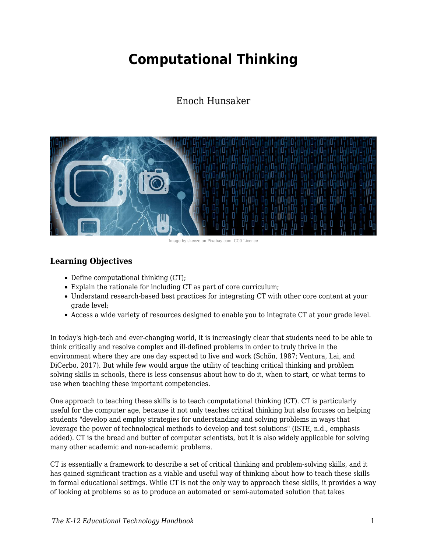# **Computational Thinking**

## Enoch Hunsaker



Image by skeeze on Pixabay.com. CC0 Licence

## **Learning Objectives**

- Define computational thinking (CT);
- Explain the rationale for including CT as part of core curriculum;
- Understand research-based best practices for integrating CT with other core content at your grade level;
- Access a wide variety of resources designed to enable you to integrate CT at your grade level.

In today's high-tech and ever-changing world, it is increasingly clear that students need to be able to think critically and resolve complex and ill-defined problems in order to truly thrive in the environment where they are one day expected to live and work (Schön, 1987; Ventura, Lai, and DiCerbo, 2017). But while few would argue the utility of teaching critical thinking and problem solving skills in schools, there is less consensus about how to do it, when to start, or what terms to use when teaching these important competencies.

One approach to teaching these skills is to teach computational thinking (CT). CT is particularly useful for the computer age, because it not only teaches critical thinking but also focuses on helping students "develop and employ strategies for understanding and solving problems in ways that leverage the power of technological methods to develop and test solutions" (ISTE, n.d., emphasis added). CT is the bread and butter of computer scientists, but it is also widely applicable for solving many other academic and non-academic problems.

CT is essentially a framework to describe a set of critical thinking and problem-solving skills, and it has gained significant traction as a viable and useful way of thinking about how to teach these skills in formal educational settings. While CT is not the only way to approach these skills, it provides a way of looking at problems so as to produce an automated or semi-automated solution that takes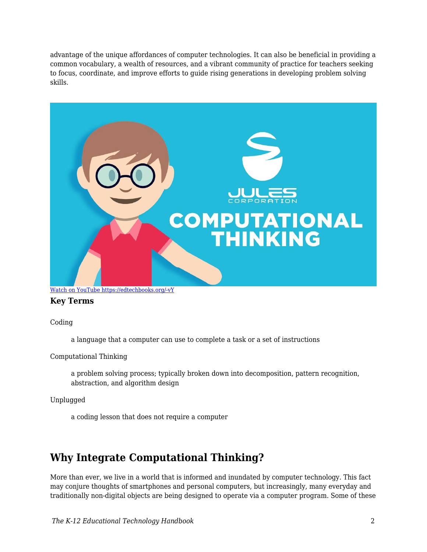advantage of the unique affordances of computer technologies. It can also be beneficial in providing a common vocabulary, a wealth of resources, and a vibrant community of practice for teachers seeking to focus, coordinate, and improve efforts to guide rising generations in developing problem solving skills.



### [Watch on YouTube https://edtechbooks.org/-vY](https://www.youtube.com/embed/mUXo-S7gzds?autoplay=1&rel=0&showinfo=0&modestbranding=1)

#### **Key Terms**

Coding

a language that a computer can use to complete a task or a set of instructions

Computational Thinking

a problem solving process; typically broken down into decomposition, pattern recognition, abstraction, and algorithm design

Unplugged

a coding lesson that does not require a computer

## **Why Integrate Computational Thinking?**

More than ever, we live in a world that is informed and inundated by computer technology. This fact may conjure thoughts of smartphones and personal computers, but increasingly, many everyday and traditionally non-digital objects are being designed to operate via a computer program. Some of these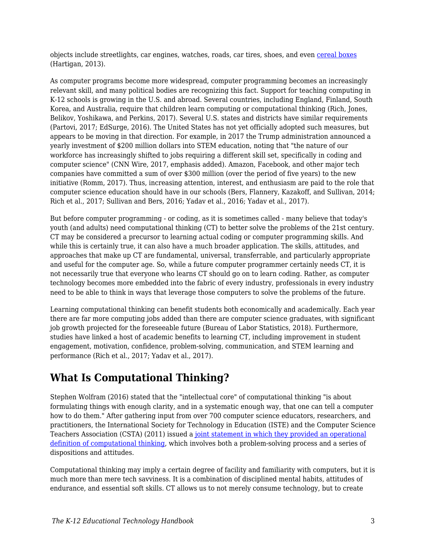objects include streetlights, car engines, watches, roads, car tires, shoes, and even [cereal boxes](https://www.youtube.com/watch?v=M0R5LPhLz_U&feature=player_embedded) (Hartigan, 2013).

As computer programs become more widespread, computer programming becomes an increasingly relevant skill, and many political bodies are recognizing this fact. Support for teaching computing in K-12 schools is growing in the U.S. and abroad. Several countries, including England, Finland, South Korea, and Australia, require that children learn computing or computational thinking (Rich, Jones, Belikov, Yoshikawa, and Perkins, 2017). Several U.S. states and districts have similar requirements (Partovi, 2017; EdSurge, 2016). The United States has not yet officially adopted such measures, but appears to be moving in that direction. For example, in 2017 the Trump administration announced a yearly investment of \$200 million dollars into STEM education, noting that "the nature of our workforce has increasingly shifted to jobs requiring a different skill set, specifically in coding and computer science" (CNN Wire, 2017, emphasis added). Amazon, Facebook, and other major tech companies have committed a sum of over \$300 million (over the period of five years) to the new initiative (Romm, 2017). Thus, increasing attention, interest, and enthusiasm are paid to the role that computer science education should have in our schools (Bers, Flannery, Kazakoff, and Sullivan, 2014; Rich et al., 2017; Sullivan and Bers, 2016; Yadav et al., 2016; Yadav et al., 2017).

But before computer programming - or coding, as it is sometimes called - many believe that today's youth (and adults) need computational thinking (CT) to better solve the problems of the 21st century. CT may be considered a precursor to learning actual coding or computer programming skills. And while this is certainly true, it can also have a much broader application. The skills, attitudes, and approaches that make up CT are fundamental, universal, transferrable, and particularly appropriate and useful for the computer age. So, while a future computer programmer certainly needs CT, it is not necessarily true that everyone who learns CT should go on to learn coding. Rather, as computer technology becomes more embedded into the fabric of every industry, professionals in every industry need to be able to think in ways that leverage those computers to solve the problems of the future.

Learning computational thinking can benefit students both economically and academically. Each year there are far more computing jobs added than there are computer science graduates, with significant job growth projected for the foreseeable future (Bureau of Labor Statistics, 2018). Furthermore, studies have linked a host of academic benefits to learning CT, including improvement in student engagement, motivation, confidence, problem-solving, communication, and STEM learning and performance (Rich et al., 2017; Yadav et al., 2017).

## **What Is Computational Thinking?**

Stephen Wolfram (2016) stated that the "intellectual core" of computational thinking "is about formulating things with enough clarity, and in a systematic enough way, that one can tell a computer how to do them." After gathering input from over 700 computer science educators, researchers, and practitioners, the International Society for Technology in Education (ISTE) and the Computer Science Teachers Association (CSTA) (2011) issued a [joint statement in which they provided an operational](http://www.iste.org/docs/ct-documents/computational-thinking-operational-definition-flyer.pdf) [definition of computational thinking](http://www.iste.org/docs/ct-documents/computational-thinking-operational-definition-flyer.pdf), which involves both a problem-solving process and a series of dispositions and attitudes.

Computational thinking may imply a certain degree of facility and familiarity with computers, but it is much more than mere tech savviness. It is a combination of disciplined mental habits, attitudes of endurance, and essential soft skills. CT allows us to not merely consume technology, but to create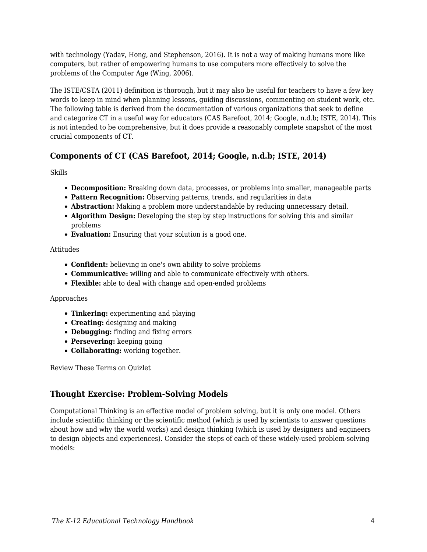with technology (Yadav, Hong, and Stephenson, 2016). It is not a way of making humans more like computers, but rather of empowering humans to use computers more effectively to solve the problems of the Computer Age (Wing, 2006).

The ISTE/CSTA (2011) definition is thorough, but it may also be useful for teachers to have a few key words to keep in mind when planning lessons, guiding discussions, commenting on student work, etc. The following table is derived from the documentation of various organizations that seek to define and categorize CT in a useful way for educators (CAS Barefoot, 2014; Google, n.d.b; ISTE, 2014). This is not intended to be comprehensive, but it does provide a reasonably complete snapshot of the most crucial components of CT.

## **Components of CT (CAS Barefoot, 2014; Google, n.d.b; ISTE, 2014)**

Skills

- **Decomposition:** Breaking down data, processes, or problems into smaller, manageable parts
- **Pattern Recognition:** Observing patterns, trends, and regularities in data
- **Abstraction:** Making a problem more understandable by reducing unnecessary detail.
- **Algorithm Design:** Developing the step by step instructions for solving this and similar problems
- **Evaluation:** Ensuring that your solution is a good one.

#### Attitudes

- **Confident:** believing in one's own ability to solve problems
- **Communicative:** willing and able to communicate effectively with others.
- **Flexible:** able to deal with change and open-ended problems

#### Approaches

- **Tinkering:** experimenting and playing
- **Creating:** designing and making
- **Debugging:** finding and fixing errors
- **Persevering:** keeping going
- **Collaborating:** working together.

Review These Terms on Quizlet

### **Thought Exercise: Problem-Solving Models**

Computational Thinking is an effective model of problem solving, but it is only one model. Others include scientific thinking or the scientific method (which is used by scientists to answer questions about how and why the world works) and design thinking (which is used by designers and engineers to design objects and experiences). Consider the steps of each of these widely-used problem-solving models: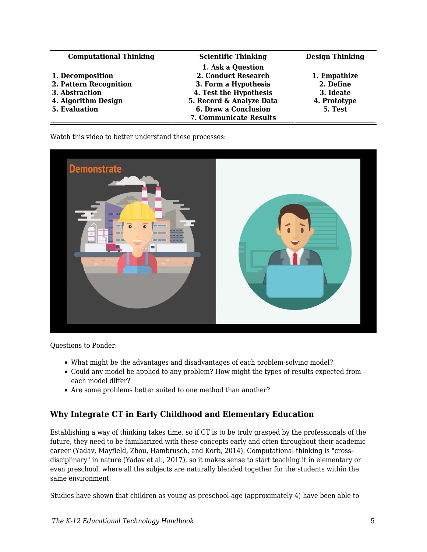| <b>Computational Thinking</b> | <b>Scientific Thinking</b> | <b>Design Thinking</b> |
|-------------------------------|----------------------------|------------------------|
|                               | 1. Ask a Question          |                        |
| 1. Decomposition              | 2. Conduct Research        | 1. Empathize           |
| 2. Pattern Recognition        | 3. Form a Hypothesis       | 2. Define              |
| 3. Abstraction                | 4. Test the Hypothesis     | 3. Ideate              |
| 4. Algorithm Design           | 5. Record & Analyze Data   | 4. Prototype           |
| 5. Evaluation                 | 6. Draw a Conclusion       | 5. Test                |
|                               | 7. Communicate Results     |                        |

Watch this video to better understand these processes:



Questions to Ponder:

- What might be the advantages and disadvantages of each problem-solving model?
- Could any model be applied to any problem? How might the types of results expected from each model differ?
- Are some problems better suited to one method than another?

## **Why Integrate CT in Early Childhood and Elementary Education**

Establishing a way of thinking takes time, so if CT is to be truly grasped by the professionals of the future, they need to be familiarized with these concepts early and often throughout their academic career (Yadav, Mayfield, Zhou, Hambrusch, and Korb, 2014). Computational thinking is "crossdisciplinary" in nature (Yadav et al., 2017), so it makes sense to start teaching it in elementary or even preschool, where all the subjects are naturally blended together for the students within the same environment.

Studies have shown that children as young as preschool-age (approximately 4) have been able to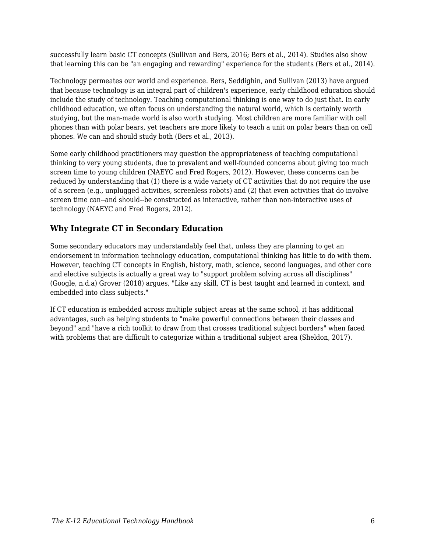successfully learn basic CT concepts (Sullivan and Bers, 2016; Bers et al., 2014). Studies also show that learning this can be "an engaging and rewarding" experience for the students (Bers et al., 2014).

Technology permeates our world and experience. Bers, Seddighin, and Sullivan (2013) have argued that because technology is an integral part of children's experience, early childhood education should include the study of technology. Teaching computational thinking is one way to do just that. In early childhood education, we often focus on understanding the natural world, which is certainly worth studying, but the man-made world is also worth studying. Most children are more familiar with cell phones than with polar bears, yet teachers are more likely to teach a unit on polar bears than on cell phones. We can and should study both (Bers et al., 2013).

Some early childhood practitioners may question the appropriateness of teaching computational thinking to very young students, due to prevalent and well-founded concerns about giving too much screen time to young children (NAEYC and Fred Rogers, 2012). However, these concerns can be reduced by understanding that (1) there is a wide variety of CT activities that do not require the use of a screen (e.g., unplugged activities, screenless robots) and (2) that even activities that do involve screen time can--and should--be constructed as interactive, rather than non-interactive uses of technology (NAEYC and Fred Rogers, 2012).

### **Why Integrate CT in Secondary Education**

Some secondary educators may understandably feel that, unless they are planning to get an endorsement in information technology education, computational thinking has little to do with them. However, teaching CT concepts in English, history, math, science, second languages, and other core and elective subjects is actually a great way to "support problem solving across all disciplines" (Google, n.d.a) Grover (2018) argues, "Like any skill, CT is best taught and learned in context, and embedded into class subjects."

If CT education is embedded across multiple subject areas at the same school, it has additional advantages, such as helping students to "make powerful connections between their classes and beyond" and "have a rich toolkit to draw from that crosses traditional subject borders" when faced with problems that are difficult to categorize within a traditional subject area (Sheldon, 2017).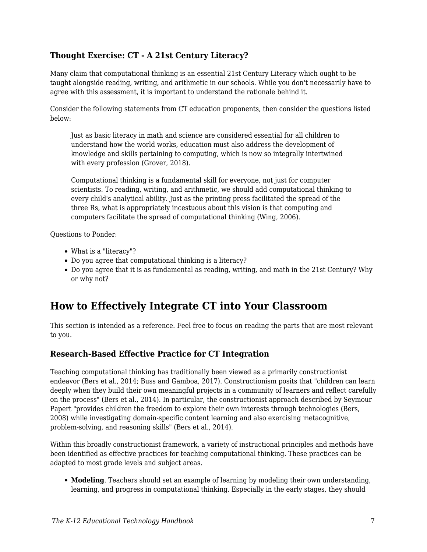## **Thought Exercise: CT - A 21st Century Literacy?**

Many claim that computational thinking is an essential 21st Century Literacy which ought to be taught alongside reading, writing, and arithmetic in our schools. While you don't necessarily have to agree with this assessment, it is important to understand the rationale behind it.

Consider the following statements from CT education proponents, then consider the questions listed below:

Just as basic literacy in math and science are considered essential for all children to understand how the world works, education must also address the development of knowledge and skills pertaining to computing, which is now so integrally intertwined with every profession (Grover, 2018).

Computational thinking is a fundamental skill for everyone, not just for computer scientists. To reading, writing, and arithmetic, we should add computational thinking to every child's analytical ability. Just as the printing press facilitated the spread of the three Rs, what is appropriately incestuous about this vision is that computing and computers facilitate the spread of computational thinking (Wing, 2006).

Questions to Ponder:

- What is a "literacy"?
- Do you agree that computational thinking is a literacy?
- Do you agree that it is as fundamental as reading, writing, and math in the 21st Century? Why or why not?

## **How to Effectively Integrate CT into Your Classroom**

This section is intended as a reference. Feel free to focus on reading the parts that are most relevant to you.

### **Research-Based Effective Practice for CT Integration**

Teaching computational thinking has traditionally been viewed as a primarily constructionist endeavor (Bers et al., 2014; Buss and Gamboa, 2017). Constructionism posits that "children can learn deeply when they build their own meaningful projects in a community of learners and reflect carefully on the process" (Bers et al., 2014). In particular, the constructionist approach described by Seymour Papert "provides children the freedom to explore their own interests through technologies (Bers, 2008) while investigating domain-specific content learning and also exercising metacognitive, problem-solving, and reasoning skills" (Bers et al., 2014).

Within this broadly constructionist framework, a variety of instructional principles and methods have been identified as effective practices for teaching computational thinking. These practices can be adapted to most grade levels and subject areas.

**Modeling**. Teachers should set an example of learning by modeling their own understanding, learning, and progress in computational thinking. Especially in the early stages, they should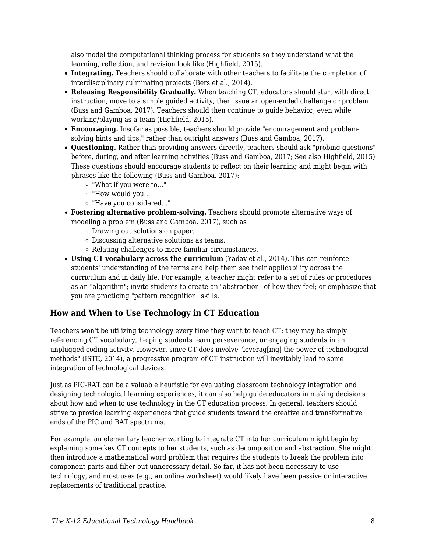also model the computational thinking process for students so they understand what the learning, reflection, and revision look like (Highfield, 2015).

- **Integrating.** Teachers should collaborate with other teachers to facilitate the completion of interdisciplinary culminating projects (Bers et al., 2014).
- **Releasing Responsibility Gradually.** When teaching CT, educators should start with direct instruction, move to a simple guided activity, then issue an open-ended challenge or problem (Buss and Gamboa, 2017). Teachers should then continue to guide behavior, even while working/playing as a team (Highfield, 2015).
- **Encouraging.** Insofar as possible, teachers should provide "encouragement and problemsolving hints and tips," rather than outright answers (Buss and Gamboa, 2017).
- **Questioning.** Rather than providing answers directly, teachers should ask "probing questions" before, during, and after learning activities (Buss and Gamboa, 2017; See also Highfield, 2015) These questions should encourage students to reflect on their learning and might begin with phrases like the following (Buss and Gamboa, 2017):
	- "What if you were to..."
	- "How would you..."
	- "Have you considered..."
- **Fostering alternative problem-solving.** Teachers should promote alternative ways of modeling a problem (Buss and Gamboa, 2017), such as
	- Drawing out solutions on paper.
	- Discussing alternative solutions as teams.
	- Relating challenges to more familiar circumstances.
- **Using CT vocabulary across the curriculum** (Yadav et al., 2014). This can reinforce students' understanding of the terms and help them see their applicability across the curriculum and in daily life. For example, a teacher might refer to a set of rules or procedures as an "algorithm"; invite students to create an "abstraction" of how they feel; or emphasize that you are practicing "pattern recognition" skills.

### **How and When to Use Technology in CT Education**

Teachers won't be utilizing technology every time they want to teach CT: they may be simply referencing CT vocabulary, helping students learn perseverance, or engaging students in an unplugged coding activity. However, since CT does involve "leverag[ing] the power of technological methods" (ISTE, 2014), a progressive program of CT instruction will inevitably lead to some integration of technological devices.

Just as PIC-RAT can be a valuable heuristic for evaluating classroom technology integration and designing technological learning experiences, it can also help guide educators in making decisions about how and when to use technology in the CT education process. In general, teachers should strive to provide learning experiences that guide students toward the creative and transformative ends of the PIC and RAT spectrums.

For example, an elementary teacher wanting to integrate CT into her curriculum might begin by explaining some key CT concepts to her students, such as decomposition and abstraction. She might then introduce a mathematical word problem that requires the students to break the problem into component parts and filter out unnecessary detail. So far, it has not been necessary to use technology, and most uses (e.g., an online worksheet) would likely have been passive or interactive replacements of traditional practice.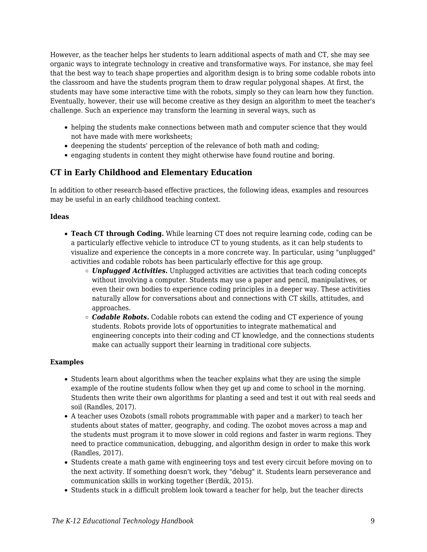However, as the teacher helps her students to learn additional aspects of math and CT, she may see organic ways to integrate technology in creative and transformative ways. For instance, she may feel that the best way to teach shape properties and algorithm design is to bring some codable robots into the classroom and have the students program them to draw regular polygonal shapes. At first, the students may have some interactive time with the robots, simply so they can learn how they function. Eventually, however, their use will become creative as they design an algorithm to meet the teacher's challenge. Such an experience may transform the learning in several ways, such as

- helping the students make connections between math and computer science that they would not have made with mere worksheets;
- deepening the students' perception of the relevance of both math and coding;
- engaging students in content they might otherwise have found routine and boring.

### **CT in Early Childhood and Elementary Education**

In addition to other research-based effective practices, the following ideas, examples and resources may be useful in an early childhood teaching context.

#### **Ideas**

- **Teach CT through Coding.** While learning CT does not require learning code, coding can be a particularly effective vehicle to introduce CT to young students, as it can help students to visualize and experience the concepts in a more concrete way. In particular, using "unplugged" activities and codable robots has been particularly effective for this age group.
	- *Unplugged Activities.* Unplugged activities are activities that teach coding concepts without involving a computer. Students may use a paper and pencil, manipulatives, or even their own bodies to experience coding principles in a deeper way. These activities naturally allow for conversations about and connections with CT skills, attitudes, and approaches.
	- *Codable Robots.* Codable robots can extend the coding and CT experience of young students. Robots provide lots of opportunities to integrate mathematical and engineering concepts into their coding and CT knowledge, and the connections students make can actually support their learning in traditional core subjects.

#### **Examples**

- Students learn about algorithms when the teacher explains what they are using the simple example of the routine students follow when they get up and come to school in the morning. Students then write their own algorithms for planting a seed and test it out with real seeds and soil (Randles, 2017).
- A teacher uses Ozobots (small robots programmable with paper and a marker) to teach her students about states of matter, geography, and coding. The ozobot moves across a map and the students must program it to move slower in cold regions and faster in warm regions. They need to practice communication, debugging, and algorithm design in order to make this work (Randles, 2017).
- Students create a math game with engineering toys and test every circuit before moving on to the next activity. If something doesn't work, they "debug" it. Students learn perseverance and communication skills in working together (Berdik, 2015).
- Students stuck in a difficult problem look toward a teacher for help, but the teacher directs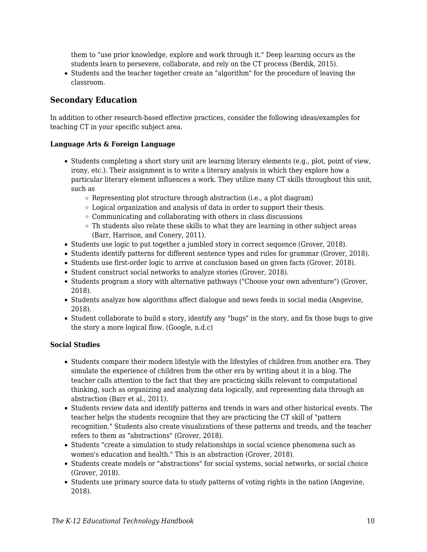them to "use prior knowledge, explore and work through it." Deep learning occurs as the students learn to persevere, collaborate, and rely on the CT process (Berdik, 2015).

Students and the teacher together create an "algorithm" for the procedure of leaving the classroom.

### **Secondary Education**

In addition to other research-based effective practices, consider the following ideas/examples for teaching CT in your specific subject area.

#### **Language Arts & Foreign Language**

- Students completing a short story unit are learning literary elements (e.g., plot, point of view, irony, etc.). Their assignment is to write a literary analysis in which they explore how a particular literary element influences a work. They utilize many CT skills throughout this unit, such as
	- $\circ$  Representing plot structure through abstraction (i.e., a plot diagram)
	- Logical organization and analysis of data in order to support their thesis.
	- $\circ$  Communicating and collaborating with others in class discussions
	- $\circ$  Th students also relate these skills to what they are learning in other subject areas (Barr, Harrison, and Conery, 2011).
- Students use logic to put together a jumbled story in correct sequence (Grover, 2018).
- Students identify patterns for different sentence types and rules for grammar (Grover, 2018).
- Students use first-order logic to arrive at conclusion based on given facts (Grover, 2018).
- Student construct social networks to analyze stories (Grover, 2018).
- Students program a story with alternative pathways ("Choose your own adventure") (Grover, 2018).
- Students analyze how algorithms affect dialogue and news feeds in social media (Angevine, 2018).
- Student collaborate to build a story, identify any "bugs" in the story, and fix those bugs to give the story a more logical flow. (Google, n.d.c)

#### **Social Studies**

- Students compare their modern lifestyle with the lifestyles of children from another era. They simulate the experience of children from the other era by writing about it in a blog. The teacher calls attention to the fact that they are practicing skills relevant to computational thinking, such as organizing and analyzing data logically, and representing data through an abstraction (Barr et al., 2011).
- Students review data and identify patterns and trends in wars and other historical events. The teacher helps the students recognize that they are practicing the CT skill of "pattern recognition." Students also create visualizations of these patterns and trends, and the teacher refers to them as "abstractions" (Grover, 2018).
- Students "create a simulation to study relationships in social science phenomena such as women's education and health." This is an abstraction (Grover, 2018).
- Students create models or "abstractions" for social systems, social networks, or social choice (Grover, 2018).
- Students use primary source data to study patterns of voting rights in the nation (Angevine, 2018).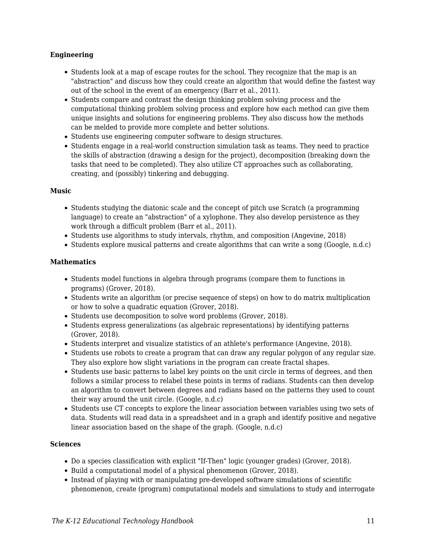#### **Engineering**

- Students look at a map of escape routes for the school. They recognize that the map is an "abstraction" and discuss how they could create an algorithm that would define the fastest way out of the school in the event of an emergency (Barr et al., 2011).
- Students compare and contrast the design thinking problem solving process and the computational thinking problem solving process and explore how each method can give them unique insights and solutions for engineering problems. They also discuss how the methods can be melded to provide more complete and better solutions.
- Students use engineering computer software to design structures.
- Students engage in a real-world construction simulation task as teams. They need to practice the skills of abstraction (drawing a design for the project), decomposition (breaking down the tasks that need to be completed). They also utilize CT approaches such as collaborating, creating, and (possibly) tinkering and debugging.

#### **Music**

- Students studying the diatonic scale and the concept of pitch use Scratch (a programming language) to create an "abstraction" of a xylophone. They also develop persistence as they work through a difficult problem (Barr et al., 2011).
- Students use algorithms to study intervals, rhythm, and composition (Angevine, 2018)
- Students explore musical patterns and create algorithms that can write a song (Google, n.d.c)

#### **Mathematics**

- Students model functions in algebra through programs (compare them to functions in programs) (Grover, 2018).
- Students write an algorithm (or precise sequence of steps) on how to do matrix multiplication or how to solve a quadratic equation (Grover, 2018).
- Students use decomposition to solve word problems (Grover, 2018).
- Students express generalizations (as algebraic representations) by identifying patterns (Grover, 2018).
- Students interpret and visualize statistics of an athlete's performance (Angevine, 2018).
- Students use robots to create a program that can draw any regular polygon of any regular size. They also explore how slight variations in the program can create fractal shapes.
- Students use basic patterns to label key points on the unit circle in terms of degrees, and then follows a similar process to relabel these points in terms of radians. Students can then develop an algorithm to convert between degrees and radians based on the patterns they used to count their way around the unit circle. (Google, n.d.c)
- Students use CT concepts to explore the linear association between variables using two sets of data. Students will read data in a spreadsheet and in a graph and identify positive and negative linear association based on the shape of the graph. (Google, n.d.c)

#### **Sciences**

- Do a species classification with explicit "If-Then" logic (younger grades) (Grover, 2018).
- Build a computational model of a physical phenomenon (Grover, 2018).
- Instead of playing with or manipulating pre-developed software simulations of scientific phenomenon, create (program) computational models and simulations to study and interrogate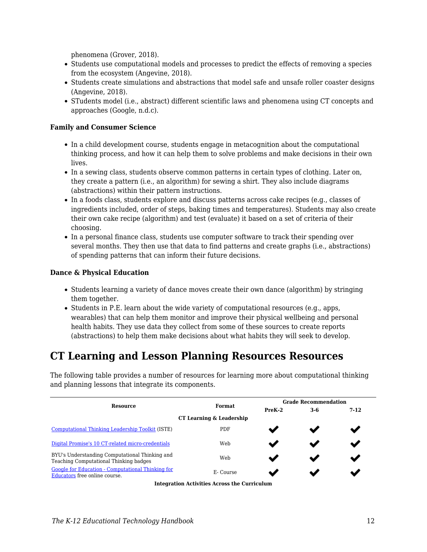phenomena (Grover, 2018).

- Students use computational models and processes to predict the effects of removing a species from the ecosystem (Angevine, 2018).
- Students create simulations and abstractions that model safe and unsafe roller coaster designs (Angevine, 2018).
- STudents model (i.e., abstract) different scientific laws and phenomena using CT concepts and approaches (Google, n.d.c).

#### **Family and Consumer Science**

- In a child development course, students engage in metacognition about the computational thinking process, and how it can help them to solve problems and make decisions in their own lives.
- In a sewing class, students observe common patterns in certain types of clothing. Later on, they create a pattern (i.e., an algorithm) for sewing a shirt. They also include diagrams (abstractions) within their pattern instructions.
- In a foods class, students explore and discuss patterns across cake recipes (e.g., classes of ingredients included, order of steps, baking times and temperatures). Students may also create their own cake recipe (algorithm) and test (evaluate) it based on a set of criteria of their choosing.
- In a personal finance class, students use computer software to track their spending over several months. They then use that data to find patterns and create graphs (i.e., abstractions) of spending patterns that can inform their future decisions.

#### **Dance & Physical Education**

- Students learning a variety of dance moves create their own dance (algorithm) by stringing them together.
- $\bullet$  Students in P.E. learn about the wide variety of computational resources (e.g., apps, wearables) that can help them monitor and improve their physical wellbeing and personal health habits. They use data they collect from some of these sources to create reports (abstractions) to help them make decisions about what habits they will seek to develop.

## **CT Learning and Lesson Planning Resources Resources**

The following table provides a number of resources for learning more about computational thinking and planning lessons that integrate its components.

|                                                                                          |               | <b>Grade Recommendation</b> |     |        |  |  |  |
|------------------------------------------------------------------------------------------|---------------|-----------------------------|-----|--------|--|--|--|
| <b>Resource</b>                                                                          | <b>Format</b> | $PreK-2$                    | 3-6 | $7-12$ |  |  |  |
| CT Learning & Leadership                                                                 |               |                             |     |        |  |  |  |
| <b>Computational Thinking Leadership Toolkit (ISTE)</b>                                  | <b>PDF</b>    |                             |     |        |  |  |  |
| Digital Promise's 10 CT-related micro-credentials                                        | Web           |                             |     |        |  |  |  |
| BYU's Understanding Computational Thinking and<br>Teaching Computational Thinking badges | Web           |                             |     |        |  |  |  |
| Google for Education - Computational Thinking for<br>Educators free online course.       | E-Course      |                             |     |        |  |  |  |

**Integration Activities Across the Curriculum**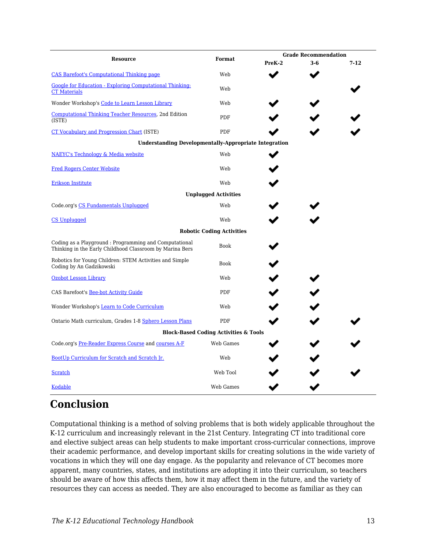| <b>Resource</b>                                                                                                    | Format                                           |        | <b>Grade Recommendation</b> |          |  |  |
|--------------------------------------------------------------------------------------------------------------------|--------------------------------------------------|--------|-----------------------------|----------|--|--|
|                                                                                                                    |                                                  | PreK-2 | $3-6$                       | $7 - 12$ |  |  |
| <b>CAS Barefoot's Computational Thinking page</b>                                                                  | Web                                              |        |                             |          |  |  |
| Google for Education - Exploring Computational Thinking:<br><b>CT Materials</b>                                    | Web                                              |        |                             |          |  |  |
| Wonder Workshop's Code to Learn Lesson Library                                                                     | Web                                              |        |                             |          |  |  |
| Computational Thinking Teacher Resources, 2nd Edition<br>(ISTE)                                                    | <b>PDF</b>                                       |        |                             |          |  |  |
| <b>CT Vocabulary and Progression Chart (ISTE)</b>                                                                  | PDF                                              |        |                             |          |  |  |
| <b>Understanding Developmentally-Appropriate Integration</b>                                                       |                                                  |        |                             |          |  |  |
| <b>NAEYC's Technology &amp; Media website</b>                                                                      | Web                                              |        |                             |          |  |  |
| <b>Fred Rogers Center Website</b>                                                                                  | Web                                              |        |                             |          |  |  |
| <b>Erikson Institute</b>                                                                                           | Web                                              |        |                             |          |  |  |
| <b>Unplugged Activities</b>                                                                                        |                                                  |        |                             |          |  |  |
| Code.org's CS Fundamentals Unplugged                                                                               | Web                                              |        |                             |          |  |  |
| <b>CS Unplugged</b>                                                                                                | Web                                              |        |                             |          |  |  |
|                                                                                                                    | <b>Robotic Coding Activities</b>                 |        |                             |          |  |  |
| Coding as a Playground : Programming and Computational<br>Thinking in the Early Childhood Classroom by Marina Bers | <b>Book</b>                                      |        |                             |          |  |  |
| Robotics for Young Children: STEM Activities and Simple<br>Coding by An Gadzikowski                                | <b>Book</b>                                      |        |                             |          |  |  |
| <b>Ozobot Lesson Library</b>                                                                                       | Web                                              |        |                             |          |  |  |
| CAS Barefoot's Bee-bot Activity Guide                                                                              | <b>PDF</b>                                       |        |                             |          |  |  |
| Wonder Workshop's Learn to Code Curriculum                                                                         | Web                                              |        |                             |          |  |  |
| Ontario Math curriculum, Grades 1-8 Sphero Lesson Plans                                                            | PDF                                              |        |                             |          |  |  |
|                                                                                                                    | <b>Block-Based Coding Activities &amp; Tools</b> |        |                             |          |  |  |
| Code.org's Pre-Reader Express Course and courses A-F                                                               | Web Games                                        |        |                             |          |  |  |
| BootUp Curriculum for Scratch and Scratch Jr.                                                                      | Web                                              |        |                             |          |  |  |
| Scratch                                                                                                            | Web Tool                                         |        |                             |          |  |  |
| <b>Kodable</b>                                                                                                     | Web Games                                        |        |                             |          |  |  |

## **Conclusion**

Computational thinking is a method of solving problems that is both widely applicable throughout the K-12 curriculum and increasingly relevant in the 21st Century. Integrating CT into traditional core and elective subject areas can help students to make important cross-curricular connections, improve their academic performance, and develop important skills for creating solutions in the wide variety of vocations in which they will one day engage. As the popularity and relevance of CT becomes more apparent, many countries, states, and institutions are adopting it into their curriculum, so teachers should be aware of how this affects them, how it may affect them in the future, and the variety of resources they can access as needed. They are also encouraged to become as familiar as they can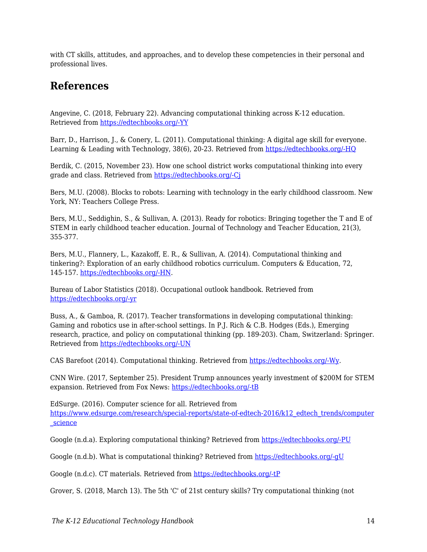with CT skills, attitudes, and approaches, and to develop these competencies in their personal and professional lives.

## **References**

Angevine, C. (2018, February 22). Advancing computational thinking across K-12 education. Retrieved from [https://edtechbooks.org/-YY](http://www.gettingsmart.com/2018/02/advancing-computational-thinking-across-k-12-education/)

Barr, D., Harrison, J., & Conery, L. (2011). Computational thinking: A digital age skill for everyone. Learning & Leading with Technology, 38(6), 20-23. Retrieved from [https://edtechbooks.org/-HQ](https://files.eric.ed.gov/fulltext/EJ918910.pdf)

Berdik, C. (2015, November 23). How one school district works computational thinking into every grade and class. Retrieved from [https://edtechbooks.org/-Cj](http://hechingerreport.org/how-one-school-district-works-computational-thinking-into-every-grade-and-class/)

Bers, M.U. (2008). Blocks to robots: Learning with technology in the early childhood classroom. New York, NY: Teachers College Press.

Bers, M.U., Seddighin, S., & Sullivan, A. (2013). Ready for robotics: Bringing together the T and E of STEM in early childhood teacher education. Journal of Technology and Teacher Education, 21(3), 355-377.

Bers, M.U., Flannery, L., Kazakoff, E. R., & Sullivan, A. (2014). Computational thinking and tinkering?: Exploration of an early childhood robotics curriculum. Computers & Education, 72, 145-157. [https://edtechbooks.org/-HN](https://doi.org/10.1016/j.compedu.2013.10.020).

Bureau of Labor Statistics (2018). Occupational outlook handbook. Retrieved from [https://edtechbooks.org/-yr](https://www.bls.gov/ooh/computer-and-information-technology/home.htm)

Buss, A., & Gamboa, R. (2017). Teacher transformations in developing computational thinking: Gaming and robotics use in after-school settings. In P.J. Rich & C.B. Hodges (Eds.), Emerging research, practice, and policy on computational thinking (pp. 189-203). Cham, Switzerland: Springer. Retrieved from [https://edtechbooks.org/-UN](http://sci-hub.cc/downloads/1d8d/10.1007@978-3-319-52691-1.pdf)

CAS Barefoot (2014). Computational thinking. Retrieved from [https://edtechbooks.org/-Wy.](https://barefootcas.org.uk/barefoot-primary-computing-resources/concepts/computational-thinking/)

CNN Wire. (2017, September 25). President Trump announces yearly investment of \$200M for STEM expansion. Retrieved from Fox News: [https://edtechbooks.org/-tB](http://fox59.com/2017/09/25/president-trump-makes-jobs-announcement/)

EdSurge. (2016). Computer science for all. Retrieved from [https://www.edsurge.com/research/special-reports/state-of-edtech-2016/k12\\_edtech\\_trends/computer](https://www.edsurge.com/research/special-reports/state-of-edtech-2016/k12_edtech_trends/computer_science) [\\_science](https://www.edsurge.com/research/special-reports/state-of-edtech-2016/k12_edtech_trends/computer_science)

Google (n.d.a). Exploring computational thinking? Retrieved from [https://edtechbooks.org/-PU](https://edu.google.com/resources/programs/exploring-computational-thinking/)

Google (n.d.b). What is computational thinking? Retrieved from [https://edtechbooks.org/-gU](https://computationalthinkingcourse.withgoogle.com/unit?lesson=8&unit=1)

Google (n.d.c). CT materials. Retrieved from [https://edtechbooks.org/-tP](https://edu.google.com/resources/programs/exploring-computational-thinking/#!ct-materials)

Grover, S. (2018, March 13). The 5th 'C' of 21st century skills? Try computational thinking (not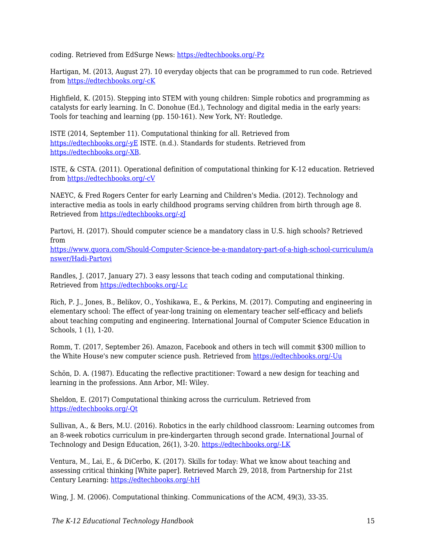coding. Retrieved from EdSurge News: [https://edtechbooks.org/-Pz](https://www.edsurge.com/news/2018-02-25-the-5th-c-of-21st-century-skills-try-computational-thinking-not-coding)

Hartigan, M. (2013, August 27). 10 everyday objects that can be programmed to run code. Retrieved from [https://edtechbooks.org/-cK](https://www.fastcompany.com/3016427/10-everyday-objects-that-can-be-programmed-to-run-code)

Highfield, K. (2015). Stepping into STEM with young children: Simple robotics and programming as catalysts for early learning. In C. Donohue (Ed.), Technology and digital media in the early years: Tools for teaching and learning (pp. 150-161). New York, NY: Routledge.

ISTE (2014, September 11). Computational thinking for all. Retrieved from [https://edtechbooks.org/-yE](https://www.iste.org/explore/articledetail?articleid=152) ISTE. (n.d.). Standards for students. Retrieved from [https://edtechbooks.org/-XB](https://www.iste.org/standards/for-students).

ISTE, & CSTA. (2011). Operational definition of computational thinking for K-12 education. Retrieved from [https://edtechbooks.org/-cV](http://www.iste.org/docs/ct-documents/computational-thinking-operational-definition-flyer.pdf)

NAEYC, & Fred Rogers Center for early Learning and Children's Media. (2012). Technology and interactive media as tools in early childhood programs serving children from birth through age 8. Retrieved from [https://edtechbooks.org/-zJ](https://www.naeyc.org/sites/default/files/globally-shared/downloads/PDFs/resources/topics/PS_technology_WEB.pdf)

Partovi, H. (2017). Should computer science be a mandatory class in U.S. high schools? Retrieved from

[https://www.quora.com/Should-Computer-Science-be-a-mandatory-part-of-a-high-school-curriculum/a](https://www.quora.com/Should-Computer-Science-be-a-mandatory-part-of-a-high-school-curriculum/answer/Hadi-Partovi) [nswer/Hadi-Partovi](https://www.quora.com/Should-Computer-Science-be-a-mandatory-part-of-a-high-school-curriculum/answer/Hadi-Partovi)

Randles, J. (2017, January 27). 3 easy lessons that teach coding and computational thinking. Retrieved from [https://edtechbooks.org/-Lc](https://www.iste.org/explore/articleDetail?articleid=894&category=In-the-classroom&article=)

Rich, P. J., Jones, B., Belikov, O., Yoshikawa, E., & Perkins, M. (2017). Computing and engineering in elementary school: The effect of year-long training on elementary teacher self-efficacy and beliefs about teaching computing and engineering. International Journal of Computer Science Education in Schools, 1 (1), 1-20.

Romm, T. (2017, September 26). Amazon, Facebook and others in tech will commit \$300 million to the White House's new computer science push. Retrieved from [https://edtechbooks.org/-Uu](https://www.recode.net/2017/9/26/16364662/amazon-facebook-google-tech-300-million-donald-trump-ivanka-computer-science)

Schön, D. A. (1987). Educating the reflective practitioner: Toward a new design for teaching and learning in the professions. Ann Arbor, MI: Wiley.

Sheldon, E. (2017) Computational thinking across the curriculum. Retrieved from [https://edtechbooks.org/-Qt](https://www.edutopia.org/blog/computational-thinking-across-the-curriculum-eli-sheldon)

Sullivan, A., & Bers, M.U. (2016). Robotics in the early childhood classroom: Learning outcomes from an 8-week robotics curriculum in pre-kindergarten through second grade. International Journal of Technology and Design Education, 26(1), 3-20. [https://edtechbooks.org/-LK](https://doi.org/10.1007/s10798-015-9304-5)

Ventura, M., Lai, E., & DiCerbo, K. (2017). Skills for today: What we know about teaching and assessing critical thinking [White paper]. Retrieved March 29, 2018, from Partnership for 21st Century Learning: [https://edtechbooks.org/-hH](http://www.p21.org/storage/documents/Skills_For_Today_Series-Pearson/White_Paper_-_P21_-_Skills_for_Today-What_We_Know_about_Teaching_and_Assessing_Critical_Thinking_v5.pdf)

Wing, J. M. (2006). Computational thinking. Communications of the ACM, 49(3), 33-35.